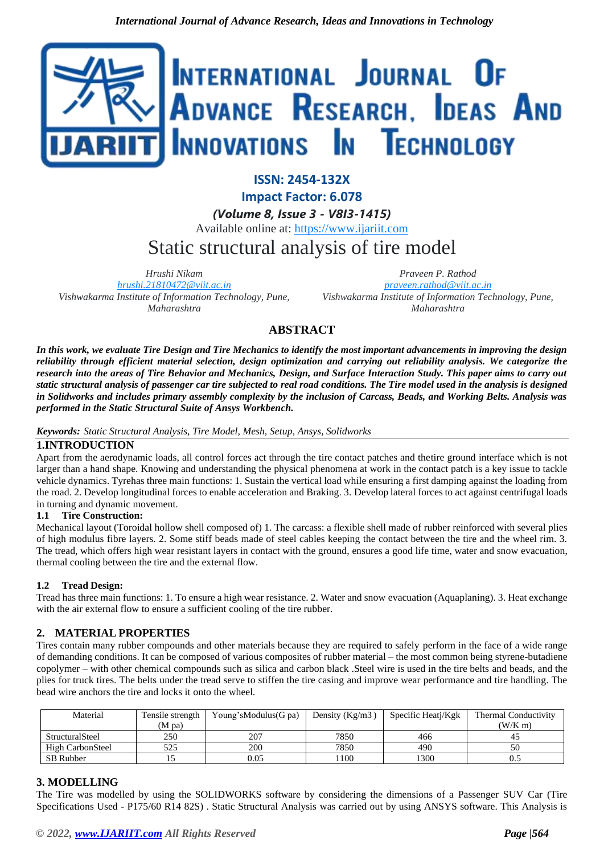

**ISSN: 2454-132X Impact Factor: 6.078**

*(Volume 8, Issue 3 - V8I3-1415)* Available online at: [https://www.ijariit.com](https://www.ijariit.com/?utm_source=pdf&utm_medium=edition&utm_campaign=OmAkSols&utm_term=V8I3-1415)

# Static structural analysis of tire model

*Hrushi Nikam [hrushi.21810472@viit.ac.in](mailto:hrushi.21810472@viit.ac.in) Vishwakarma Institute of Information Technology, Pune, Maharashtra*

*Praveen P. Rathod [praveen.rathod@viit.ac.in](mailto:praveen.rathod@viit.ac.in) Vishwakarma Institute of Information Technology, Pune, Maharashtra*

# **ABSTRACT**

*In this work, we evaluate Tire Design and Tire Mechanics to identify the most important advancements in improving the design reliability through efficient material selection, design optimization and carrying out reliability analysis. We categorize the research into the areas of Tire Behavior and Mechanics, Design, and Surface Interaction Study. This paper aims to carry out static structural analysis of passenger car tire subjected to real road conditions. The Tire model used in the analysis is designed in Solidworks and includes primary assembly complexity by the inclusion of Carcass, Beads, and Working Belts. Analysis was performed in the Static Structural Suite of Ansys Workbench.*

## *Keywords: Static Structural Analysis, Tire Model, Mesh, Setup, Ansys, Solidworks*

# **1.INTRODUCTION**

Apart from the aerodynamic loads, all control forces act through the tire contact patches and thetire ground interface which is not larger than a hand shape. Knowing and understanding the physical phenomena at work in the contact patch is a key issue to tackle vehicle dynamics. Tyrehas three main functions: 1. Sustain the vertical load while ensuring a first damping against the loading from the road. 2. Develop longitudinal forces to enable acceleration and Braking. 3. Develop lateral forces to act against centrifugal loads in turning and dynamic movement.

## **1.1 Tire Construction:**

Mechanical layout (Toroidal hollow shell composed of) 1. The carcass: a flexible shell made of rubber reinforced with several plies of high modulus fibre layers. 2. Some stiff beads made of steel cables keeping the contact between the tire and the wheel rim. 3. The tread, which offers high wear resistant layers in contact with the ground, ensures a good life time, water and snow evacuation, thermal cooling between the tire and the external flow.

## **1.2 Tread Design:**

Tread has three main functions: 1. To ensure a high wear resistance. 2. Water and snow evacuation (Aquaplaning). 3. Heat exchange with the air external flow to ensure a sufficient cooling of the tire rubber.

# **2. MATERIAL PROPERTIES**

Tires contain many rubber compounds and other materials because they are required to safely perform in the face of a wide range of demanding conditions. It can be composed of various composites of rubber material – the most common being styrene-butadiene copolymer – with other chemical compounds such as silica and carbon black .Steel wire is used in the tire belts and beads, and the plies for truck tires. The belts under the tread serve to stiffen the tire casing and improve wear performance and tire handling. The bead wire anchors the tire and locks it onto the wheel*.*

| Material         | Tensile strength<br>(M pa) | Young's Modulus (G pa) | Density ( $Kg/m3$ ) | Specific Heatj/Kgk | Thermal Conductivity<br>(W/K m) |
|------------------|----------------------------|------------------------|---------------------|--------------------|---------------------------------|
| StructuralSteel  | 250                        | 207                    | 7850                | 466                | 45                              |
| High CarbonSteel | 525                        | 200                    | 7850                | 490                | 50                              |
| SB Rubber        |                            | 0.05                   | 100                 | 1300               | 0.5                             |

# **3. MODELLING**

The Tire was modelled by using the SOLIDWORKS software by considering the dimensions of a Passenger SUV Car (Tire Specifications Used - P175/60 R14 82S) . Static Structural Analysis was carried out by using ANSYS software. This Analysis is